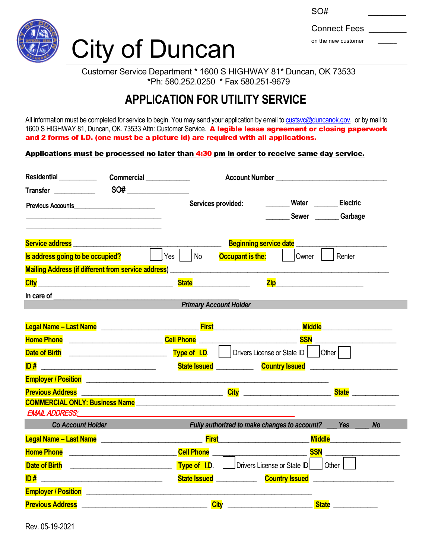

## City of Duncan

| SO#                 |  |
|---------------------|--|
| <b>Connect Fees</b> |  |
| on the new customer |  |

Customer Service Department \* 1600 S HIGHWAY 81\* Duncan, OK 73533 \*Ph: 580.252.0250 \* Fax 580.251-9679

## **APPLICATION FOR UTILITY SERVICE**

All information must be completed for service to begin. You may send your application by email to [custsvc@duncanok.gov,](mailto:custsvc@duncanok.gov) or by mail to 1600 S HIGHWAY 81, Duncan, OK. 73533 Attn: Customer Service. A legible lease agreement or closing paperwork and 2 forms of I.D. (one must be a picture id) are required with all applications.

Applications must be processed no later than 4:30 pm in order to receive same day service.

| <b>Transfer Exercise 1999</b>                                                                                                                                                                                                       | SO# |                                                                                                                                                                                                                                                                       |                                                                            |                                                                                                                       |                                                                                                                                                                                      |
|-------------------------------------------------------------------------------------------------------------------------------------------------------------------------------------------------------------------------------------|-----|-----------------------------------------------------------------------------------------------------------------------------------------------------------------------------------------------------------------------------------------------------------------------|----------------------------------------------------------------------------|-----------------------------------------------------------------------------------------------------------------------|--------------------------------------------------------------------------------------------------------------------------------------------------------------------------------------|
| Previous Accounts <b>Exercise Services</b>                                                                                                                                                                                          |     | Services provided:                                                                                                                                                                                                                                                    |                                                                            | ________Water ________Electric                                                                                        |                                                                                                                                                                                      |
|                                                                                                                                                                                                                                     |     |                                                                                                                                                                                                                                                                       |                                                                            |                                                                                                                       | Sewer Garbage                                                                                                                                                                        |
|                                                                                                                                                                                                                                     |     |                                                                                                                                                                                                                                                                       |                                                                            | <b>Beginning service date</b>                                                                                         |                                                                                                                                                                                      |
| Is address going to be occupied?                                                                                                                                                                                                    |     | $\vert$ $\vert$ Yes $\vert$ $\vert$ No                                                                                                                                                                                                                                | <b>Occupant is the:</b>                                                    | Owner                                                                                                                 | Renter                                                                                                                                                                               |
| Mailing Address (if different from service address)<br>Mailing Address (if different from service address)                                                                                                                          |     |                                                                                                                                                                                                                                                                       |                                                                            |                                                                                                                       |                                                                                                                                                                                      |
|                                                                                                                                                                                                                                     |     |                                                                                                                                                                                                                                                                       |                                                                            | <u>Ziperman and the set of the set of the set of the set of the set of the set of the set of the set of the set o</u> |                                                                                                                                                                                      |
|                                                                                                                                                                                                                                     |     |                                                                                                                                                                                                                                                                       |                                                                            |                                                                                                                       |                                                                                                                                                                                      |
|                                                                                                                                                                                                                                     |     | <b>Primary Account Holder</b>                                                                                                                                                                                                                                         |                                                                            |                                                                                                                       |                                                                                                                                                                                      |
| Legal Name - Last Name <b>Construction Construction Construction</b> First                                                                                                                                                          |     |                                                                                                                                                                                                                                                                       |                                                                            |                                                                                                                       | <b>Middle Middle Middle Middle Middle Middle Middle Middle Middle Middle Middle Middle Middle Middle Middle Middle Middle Middle Middle Middle Middle Middle Middle Middle Middl</b> |
| <b>Home Phone Note 2008 Cell Phone Cell Phone Cell Phone Cell Phone Cell Phone Cell Phone Cell Phone Cell Phone Cell Phone Cell Phone Cell Phone Cell Phone Cell Phone Cell Phone Cell Phone C</b>                                  |     |                                                                                                                                                                                                                                                                       |                                                                            |                                                                                                                       |                                                                                                                                                                                      |
| Date of Birth <b>Date of Birth</b>                                                                                                                                                                                                  |     | <b>Type of I.D.</b> $\begin{vmatrix} \cdot & \cdot & \cdot \\ \cdot & \cdot & \cdot \\ \cdot & \cdot & \cdot \end{vmatrix}$ Drivers License or State ID $\begin{vmatrix} \cdot & \cdot & \cdot \\ \cdot & \cdot & \cdot \\ \cdot & \cdot & \cdot \end{vmatrix}$ Other |                                                                            |                                                                                                                       |                                                                                                                                                                                      |
|                                                                                                                                                                                                                                     |     |                                                                                                                                                                                                                                                                       |                                                                            |                                                                                                                       |                                                                                                                                                                                      |
| <b>Employer / Position</b> 2008 2009 2010 2020 2021 2022 2023 2024 2022 2023 2024 2022 2023 2024 2022 2023 2024 2022 20                                                                                                             |     |                                                                                                                                                                                                                                                                       |                                                                            |                                                                                                                       |                                                                                                                                                                                      |
| Previous Address <b>Example 20</b> and 20 and 20 and 20 and 20 and 20 and 20 and 20 and 20 and 20 and 20 and 20 and 20 and 20 and 20 and 20 and 20 and 20 and 20 and 20 and 20 and 20 and 20 and 20 and 20 and 20 and 20 and 20 and |     |                                                                                                                                                                                                                                                                       |                                                                            |                                                                                                                       |                                                                                                                                                                                      |
|                                                                                                                                                                                                                                     |     |                                                                                                                                                                                                                                                                       |                                                                            |                                                                                                                       |                                                                                                                                                                                      |
| <b>EMAIL ADDRESS:</b>                                                                                                                                                                                                               |     |                                                                                                                                                                                                                                                                       |                                                                            |                                                                                                                       |                                                                                                                                                                                      |
| Co Account Holder <b>Contract Control</b>                                                                                                                                                                                           |     |                                                                                                                                                                                                                                                                       |                                                                            |                                                                                                                       | Fully authorized to make changes to account? __ Yes __<br><b>No</b>                                                                                                                  |
| Legal Name – Last Name Land Name (2002) 2014 - Contract Time Contract Time June 10 - Contract Time Contract Ti                                                                                                                      |     |                                                                                                                                                                                                                                                                       |                                                                            |                                                                                                                       |                                                                                                                                                                                      |
|                                                                                                                                                                                                                                     |     |                                                                                                                                                                                                                                                                       |                                                                            |                                                                                                                       |                                                                                                                                                                                      |
| Date of Birth <b>Date of Birth</b>                                                                                                                                                                                                  |     |                                                                                                                                                                                                                                                                       | <b>Type of I.D.</b> $\Box$ Drivers License or State ID $\Box$ Other $\Box$ |                                                                                                                       |                                                                                                                                                                                      |
|                                                                                                                                                                                                                                     |     |                                                                                                                                                                                                                                                                       |                                                                            |                                                                                                                       | State Issued ________________ Country Issued ___________________________________                                                                                                     |
|                                                                                                                                                                                                                                     |     |                                                                                                                                                                                                                                                                       |                                                                            |                                                                                                                       |                                                                                                                                                                                      |
|                                                                                                                                                                                                                                     |     |                                                                                                                                                                                                                                                                       |                                                                            |                                                                                                                       | State _____________                                                                                                                                                                  |